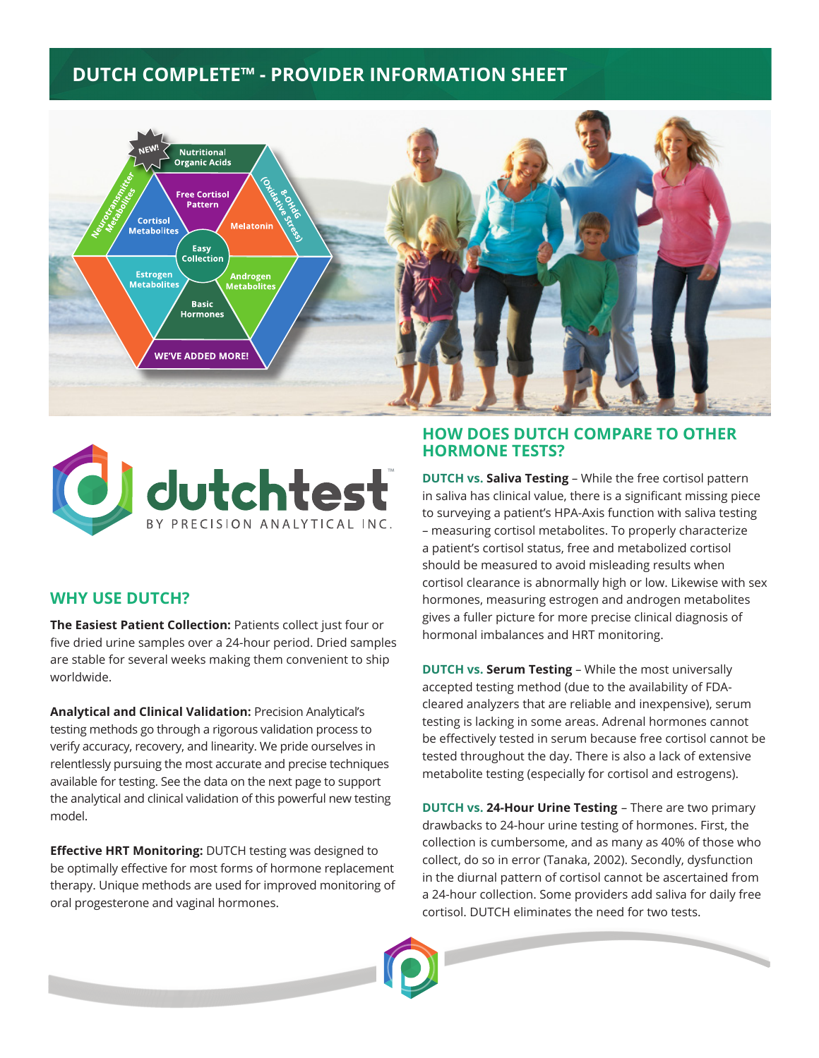# **DUTCH COMPLETE™ - PROVIDER INFORMATION SHEET**





### **WHY USE DUTCH?**

**The Easiest Patient Collection:** Patients collect just four or five dried urine samples over a 24-hour period. Dried samples are stable for several weeks making them convenient to ship worldwide.

**Analytical and Clinical Validation:** Precision Analytical's testing methods go through a rigorous validation process to verify accuracy, recovery, and linearity. We pride ourselves in relentlessly pursuing the most accurate and precise techniques available for testing. See the data on the next page to support the analytical and clinical validation of this powerful new testing model.

**Effective HRT Monitoring:** DUTCH testing was designed to be optimally effective for most forms of hormone replacement therapy. Unique methods are used for improved monitoring of oral progesterone and vaginal hormones.

#### **HOW DOES DUTCH COMPARE TO OTHER HORMONE TESTS?**

**DUTCH vs. Saliva Testing** – While the free cortisol pattern in saliva has clinical value, there is a significant missing piece to surveying a patient's HPA-Axis function with saliva testing – measuring cortisol metabolites. To properly characterize a patient's cortisol status, free and metabolized cortisol should be measured to avoid misleading results when cortisol clearance is abnormally high or low. Likewise with sex hormones, measuring estrogen and androgen metabolites gives a fuller picture for more precise clinical diagnosis of hormonal imbalances and HRT monitoring.

**DUTCH vs. Serum Testing** – While the most universally accepted testing method (due to the availability of FDAcleared analyzers that are reliable and inexpensive), serum testing is lacking in some areas. Adrenal hormones cannot be effectively tested in serum because free cortisol cannot be tested throughout the day. There is also a lack of extensive metabolite testing (especially for cortisol and estrogens).

**DUTCH vs. 24-Hour Urine Testing** – There are two primary drawbacks to 24-hour urine testing of hormones. First, the collection is cumbersome, and as many as 40% of those who collect, do so in error (Tanaka, 2002). Secondly, dysfunction in the diurnal pattern of cortisol cannot be ascertained from a 24-hour collection. Some providers add saliva for daily free cortisol. DUTCH eliminates the need for two tests.